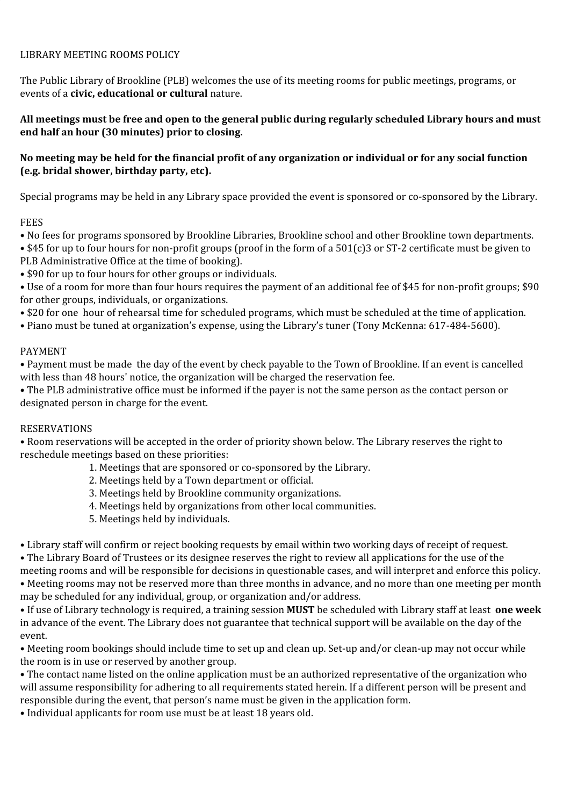### LIBRARY MEETING ROOMS POLICY

The Public Library of Brookline (PLB) welcomes the use of its meeting rooms for public meetings, programs, or events of a **civic, educational or cultural** nature.

### All meetings must be free and open to the general public during regularly scheduled Library hours and must **end half an hour (30 minutes) prior to closing.**

### No meeting may be held for the financial profit of any organization or individual or for any social function **(e.g. bridal shower, birthday party, etc).**

Special programs may be held in any Library space provided the event is sponsored or co-sponsored by the Library.

#### FEES

• No fees for programs sponsored by Brookline Libraries, Brookline school and other Brookline town departments.

• \$45 for up to four hours for non-profit groups (proof in the form of a 501(c)3 or ST-2 certificate must be given to PLB Administrative Office at the time of booking).

• \$90 for up to four hours for other groups or individuals.

• Use of a room for more than four hours requires the payment of an additional fee of \$45 for non-profit groups; \$90 for other groups, individuals, or organizations.

• \$20 for one hour of rehearsal time for scheduled programs, which must be scheduled at the time of application.

• Piano must be tuned at organization's expense, using the Library's tuner (Tony McKenna: 617-484-5600).

### PAYMENT

• Payment must be made the day of the event by check payable to the Town of Brookline. If an event is cancelled with less than 48 hours' notice, the organization will be charged the reservation fee.

• The PLB administrative office must be informed if the payer is not the same person as the contact person or designated person in charge for the event.

# RESERVATIONS

• Room reservations will be accepted in the order of priority shown below. The Library reserves the right to reschedule meetings based on these priorities:

- 1. Meetings that are sponsored or co-sponsored by the Library.
- 2. Meetings held by a Town department or official.
- 3. Meetings held by Brookline community organizations.
- 4. Meetings held by organizations from other local communities.
- 5. Meetings held by individuals.

• Library staff will confirm or reject booking requests by email within two working days of receipt of request.

• The Library Board of Trustees or its designee reserves the right to review all applications for the use of the meeting rooms and will be responsible for decisions in questionable cases, and will interpret and enforce this policy. • Meeting rooms may not be reserved more than three months in advance, and no more than one meeting per month may be scheduled for any individual, group, or organization and/or address.

• If use of Library technology is required, a training session **MUST** be scheduled with Library staff at least **one week** in advance of the event. The Library does not guarantee that technical support will be available on the day of the event.

• Meeting room bookings should include time to set up and clean up. Set-up and/or clean-up may not occur while the room is in use or reserved by another group.

• The contact name listed on the online application must be an authorized representative of the organization who will assume responsibility for adhering to all requirements stated herein. If a different person will be present and responsible during the event, that person's name must be given in the application form.

• Individual applicants for room use must be at least 18 years old.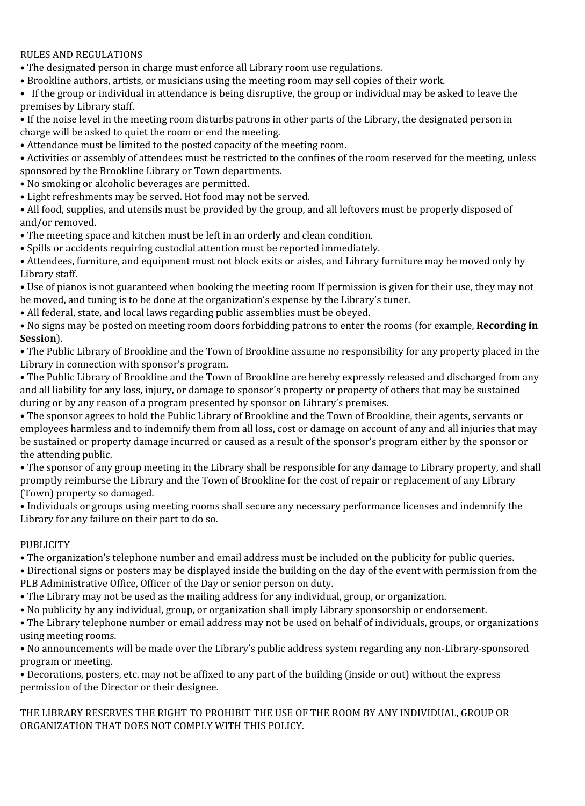## RULES AND REGULATIONS

• The designated person in charge must enforce all Library room use regulations.

• Brookline authors, artists, or musicians using the meeting room may sell copies of their work.

• If the group or individual in attendance is being disruptive, the group or individual may be asked to leave the premises by Library staff.

- If the noise level in the meeting room disturbs patrons in other parts of the Library, the designated person in charge will be asked to quiet the room or end the meeting.
- Attendance must be limited to the posted capacity of the meeting room.
- Activities or assembly of attendees must be restricted to the confines of the room reserved for the meeting, unless sponsored by the Brookline Library or Town departments.
- No smoking or alcoholic beverages are permitted.
- Light refreshments may be served. Hot food may not be served.

• All food, supplies, and utensils must be provided by the group, and all leftovers must be properly disposed of and/or removed.

- The meeting space and kitchen must be left in an orderly and clean condition.
- Spills or accidents requiring custodial attention must be reported immediately.

• Attendees, furniture, and equipment must not block exits or aisles, and Library furniture may be moved only by Library staff.

• Use of pianos is not guaranteed when booking the meeting room If permission is given for their use, they may not be moved, and tuning is to be done at the organization's expense by the Library's tuner.

• All federal, state, and local laws regarding public assemblies must be obeyed.

• No signs may be posted on meeting room doors forbidding patrons to enter the rooms (for example, **Recording in Session**).

• The Public Library of Brookline and the Town of Brookline assume no responsibility for any property placed in the Library in connection with sponsor's program.

• The Public Library of Brookline and the Town of Brookline are hereby expressly released and discharged from any and all liability for any loss, injury, or damage to sponsor's property or property of others that may be sustained during or by any reason of a program presented by sponsor on Library's premises.

• The sponsor agrees to hold the Public Library of Brookline and the Town of Brookline, their agents, servants or employees harmless and to indemnify them from all loss, cost or damage on account of any and all injuries that may be sustained or property damage incurred or caused as a result of the sponsor's program either by the sponsor or the attending public.

• The sponsor of any group meeting in the Library shall be responsible for any damage to Library property, and shall promptly reimburse the Library and the Town of Brookline for the cost of repair or replacement of any Library (Town) property so damaged.

• Individuals or groups using meeting rooms shall secure any necessary performance licenses and indemnify the Library for any failure on their part to do so.

#### PUBLICITY

• The organization's telephone number and email address must be included on the publicity for public queries.

• Directional signs or posters may be displayed inside the building on the day of the event with permission from the PLB Administrative Office, Officer of the Day or senior person on duty.

- The Library may not be used as the mailing address for any individual, group, or organization.
- No publicity by any individual, group, or organization shall imply Library sponsorship or endorsement.

• The Library telephone number or email address may not be used on behalf of individuals, groups, or organizations using meeting rooms.

• No announcements will be made over the Library's public address system regarding any non-Library-sponsored program or meeting.

• Decorations, posters, etc. may not be affixed to any part of the building (inside or out) without the express permission of the Director or their designee.

THE LIBRARY RESERVES THE RIGHT TO PROHIBIT THE USE OF THE ROOM BY ANY INDIVIDUAL, GROUP OR ORGANIZATION THAT DOES NOT COMPLY WITH THIS POLICY.